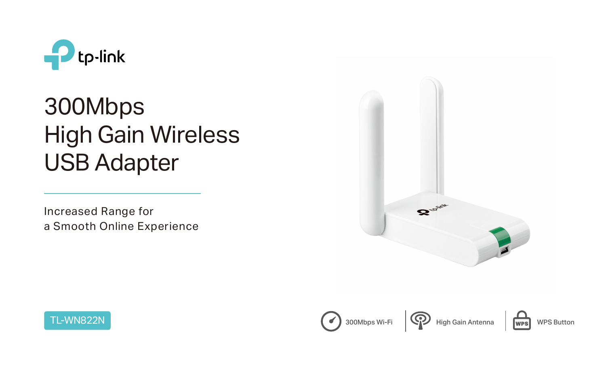

# 300Mbps High Gain Wireless USB Adapter



Increased Range for a Smooth Online Experience





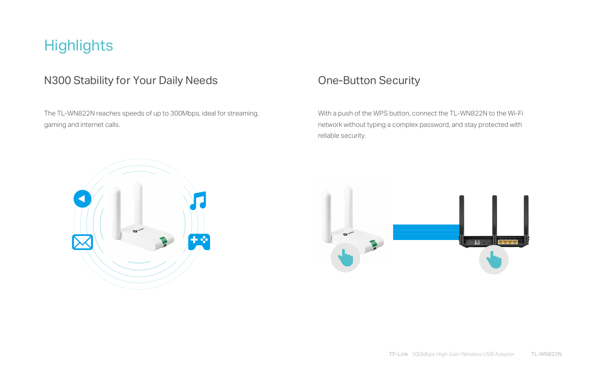## **Highlights**

#### N300 Stability for Your Daily Needs **One-Button Security**

The TL-WN822N reaches speeds of up to 300Mbps, ideal for streaming, gaming and internet calls.

With a push of the WPS button, connect the TL-WN822N to the Wi-Fi network without typing a complex password, and stay protected with reliable security.





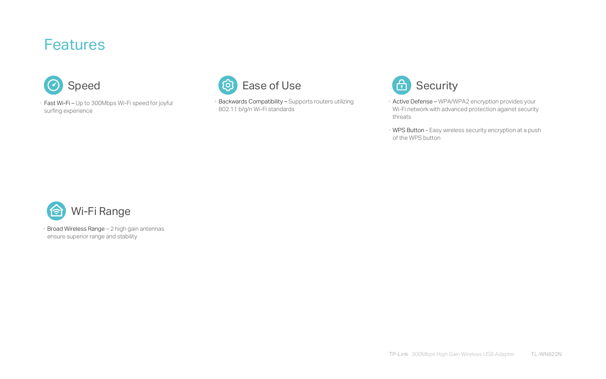· Backwards Compatibility – Supports routers utilizing 802.11 b/g/n Wi-Fi standards

· Fast Wi-Fi – Up to 300Mbps Wi-Fi speed for joyful surfing experience



Broad Wireless Range - 2 high gain antennas ensure superior range and stability



- · Active Defense WPA/WPA2 encryption provides your Wi-Fi network with advanced protection against security threats
- · WPS Button Easy wireless security encryption at a push of the WPS button

### Features